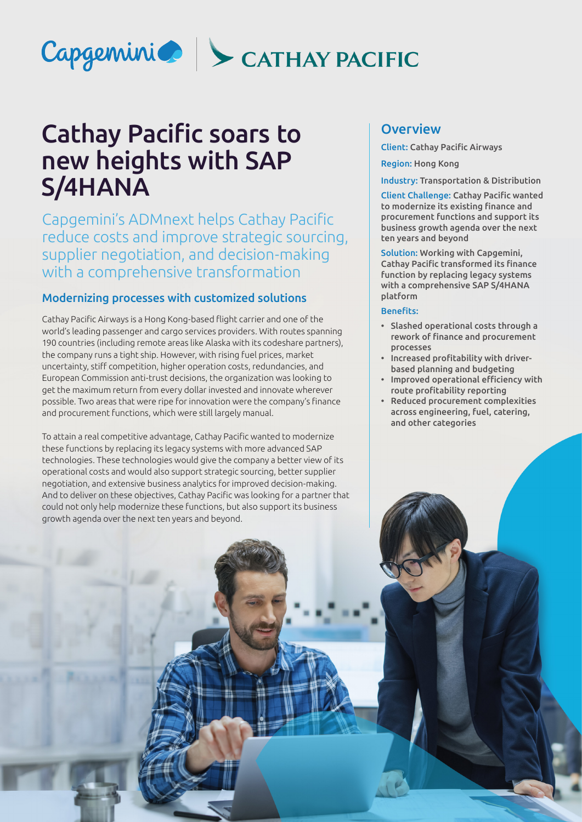

# Cathay Pacific soars to new heights with SAP S/4HANA

Capgemini's ADMnext helps Cathay Pacific reduce costs and improve strategic sourcing, supplier negotiation, and decision-making with a comprehensive transformation

#### Modernizing processes with customized solutions

Cathay Pacific Airways is a Hong Kong-based flight carrier and one of the world's leading passenger and cargo services providers. With routes spanning 190 countries (including remote areas like Alaska with its codeshare partners), the company runs a tight ship. However, with rising fuel prices, market uncertainty, stiff competition, higher operation costs, redundancies, and European Commission anti-trust decisions, the organization was looking to get the maximum return from every dollar invested and innovate wherever possible. Two areas that were ripe for innovation were the company's finance and procurement functions, which were still largely manual.

To attain a real competitive advantage, Cathay Pacific wanted to modernize these functions by replacing its legacy systems with more advanced SAP technologies. These technologies would give the company a better view of its operational costs and would also support strategic sourcing, better supplier negotiation, and extensive business analytics for improved decision-making. And to deliver on these objectives, Cathay Pacific was looking for a partner that could not only help modernize these functions, but also support its business growth agenda over the next ten years and beyond.

# **Overview**

Client: Cathay Pacific Airways

Region: Hong Kong

Industry: Transportation & Distribution

Client Challenge: Cathay Pacific wanted to modernize its existing finance and procurement functions and support its business growth agenda over the next ten years and beyond

Solution: Working with Capgemini, Cathay Pacific transformed its finance function by replacing legacy systems with a comprehensive SAP S/4HANA platform

#### Benefits:

- Slashed operational costs through a rework of finance and procurement processes
- Increased profitability with driverbased planning and budgeting
- Improved operational efficiency with route profitability reporting
- Reduced procurement complexities across engineering, fuel, catering, and other categories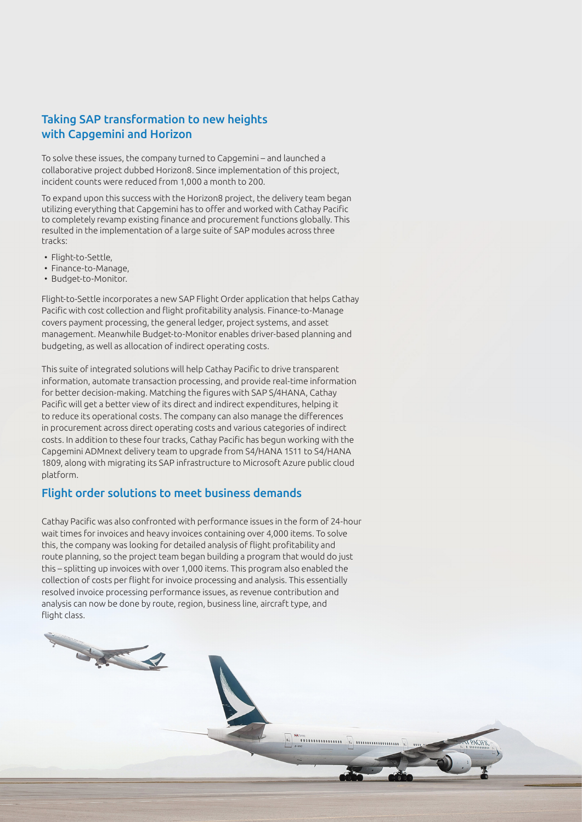## Taking SAP transformation to new heights with Capgemini and Horizon

To solve these issues, the company turned to Capgemini – and launched a collaborative project dubbed Horizon8. Since implementation of this project, incident counts were reduced from 1,000 a month to 200.

To expand upon this success with the Horizon8 project, the delivery team began utilizing everything that Capgemini has to offer and worked with Cathay Pacific to completely revamp existing finance and procurement functions globally. This resulted in the implementation of a large suite of SAP modules across three tracks:

- Flight-to-Settle,
- Finance-to-Manage,
- Budget-to-Monitor.

Flight-to-Settle incorporates a new SAP Flight Order application that helps Cathay Pacific with cost collection and flight profitability analysis. Finance-to-Manage covers payment processing, the general ledger, project systems, and asset management. Meanwhile Budget-to-Monitor enables driver-based planning and budgeting, as well as allocation of indirect operating costs.

This suite of integrated solutions will help Cathay Pacific to drive transparent information, automate transaction processing, and provide real-time information for better decision-making. Matching the figures with SAP S/4HANA, Cathay Pacific will get a better view of its direct and indirect expenditures, helping it to reduce its operational costs. The company can also manage the differences in procurement across direct operating costs and various categories of indirect costs. In addition to these four tracks, Cathay Pacific has begun working with the Capgemini ADMnext delivery team to upgrade from S4/HANA 1511 to S4/HANA 1809, along with migrating its SAP infrastructure to Microsoft Azure public cloud platform.

#### Flight order solutions to meet business demands

Sie R

Cathay Pacific was also confronted with performance issues in the form of 24-hour wait times for invoices and heavy invoices containing over 4,000 items. To solve this, the company was looking for detailed analysis of flight profitability and route planning, so the project team began building a program that would do just this – splitting up invoices with over 1,000 items. This program also enabled the collection of costs per flight for invoice processing and analysis. This essentially resolved invoice processing performance issues, as revenue contribution and analysis can now be done by route, region, business line, aircraft type, and flight class.